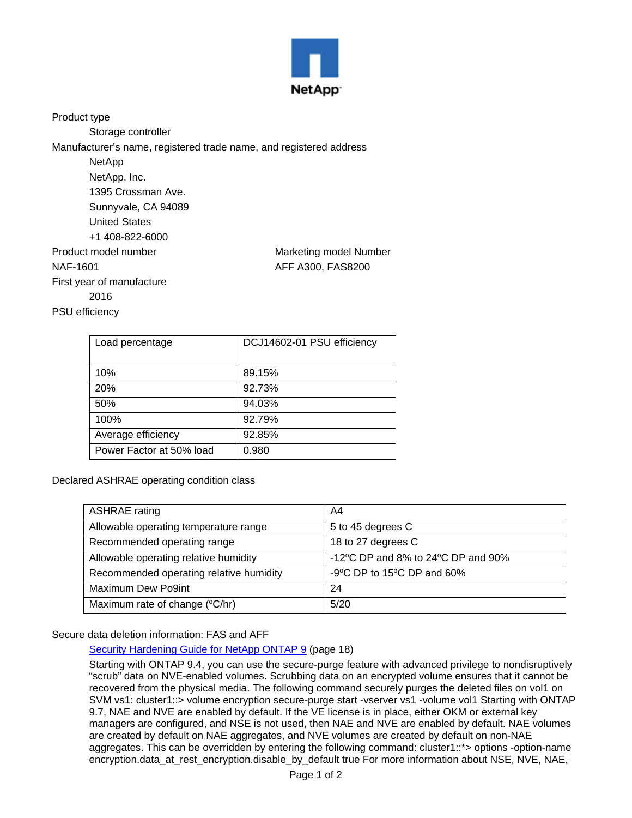

Product type

Storage controller

Manufacturer's name, registered trade name, and registered address

| NetApp                    |                        |
|---------------------------|------------------------|
| NetApp, Inc.              |                        |
| 1395 Crossman Ave.        |                        |
| Sunnyvale, CA 94089       |                        |
| <b>United States</b>      |                        |
| +1 408-822-6000           |                        |
| Product model number      | Marketing model Number |
| NAF-1601                  | AFF A300, FAS8200      |
| First year of manufacture |                        |
| 2016                      |                        |
| <b>PSU</b> efficiency     |                        |

| Load percentage          | DCJ14602-01 PSU efficiency |
|--------------------------|----------------------------|
| 10%                      | 89.15%                     |
| 20%                      | 92.73%                     |
| 50%                      | 94.03%                     |
| 100%                     | 92.79%                     |
| Average efficiency       | 92.85%                     |
| Power Factor at 50% load | 0.980                      |

Declared ASHRAE operating condition class

| <b>ASHRAE</b> rating                    | A4                                                     |
|-----------------------------------------|--------------------------------------------------------|
| Allowable operating temperature range   | 5 to 45 degrees C                                      |
| Recommended operating range             | 18 to 27 degrees C                                     |
| Allowable operating relative humidity   | -12 $\degree$ C DP and 8% to 24 $\degree$ C DP and 90% |
| Recommended operating relative humidity | -9°C DP to 15°C DP and 60%                             |
| Maximum Dew Po9int                      | 24                                                     |
| Maximum rate of change (°C/hr)          | 5/20                                                   |

## Secure data deletion information: FAS and AFF

[Security Hardening Guide for NetApp ONTAP 9](https://www.netapp.com/us/media/tr-4569.pdf) (page 18)

Starting with ONTAP 9.4, you can use the secure-purge feature with advanced privilege to nondisruptively "scrub" data on NVE-enabled volumes. Scrubbing data on an encrypted volume ensures that it cannot be recovered from the physical media. The following command securely purges the deleted files on vol1 on SVM vs1: cluster1::> volume encryption secure-purge start -vserver vs1 -volume vol1 Starting with ONTAP 9.7, NAE and NVE are enabled by default. If the VE license is in place, either OKM or external key managers are configured, and NSE is not used, then NAE and NVE are enabled by default. NAE volumes are created by default on NAE aggregates, and NVE volumes are created by default on non-NAE aggregates. This can be overridden by entering the following command: cluster1::\*> options -option-name encryption.data\_at\_rest\_encryption.disable\_by\_default true For more information about NSE, NVE, NAE,